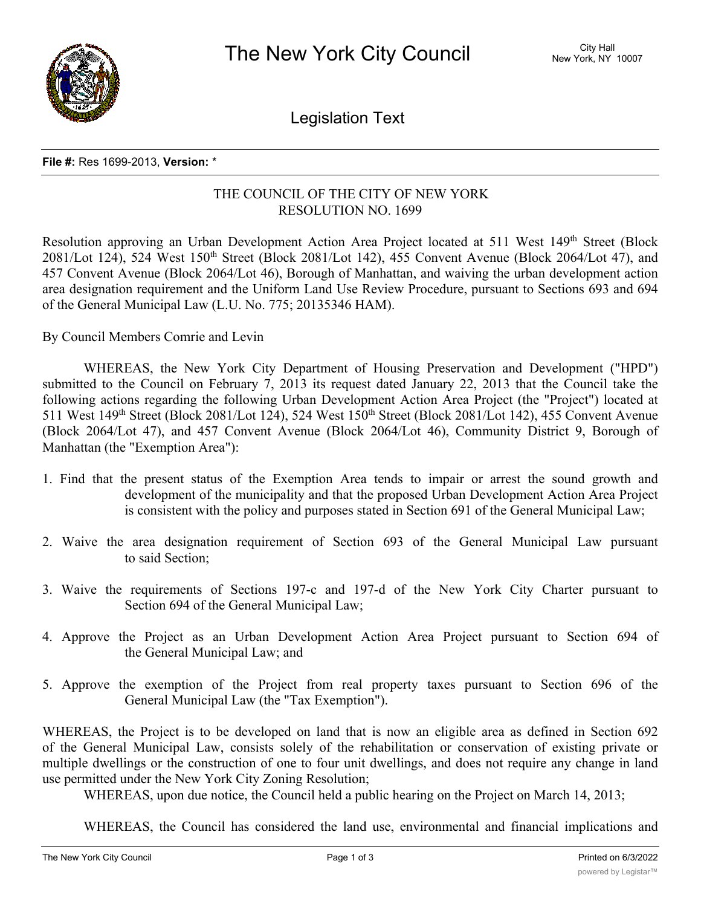

Legislation Text

## **File #:** Res 1699-2013, **Version:** \*

## THE COUNCIL OF THE CITY OF NEW YORK RESOLUTION NO. 1699

Resolution approving an Urban Development Action Area Project located at 511 West 149<sup>th</sup> Street (Block 2081/Lot 124), 524 West 150<sup>th</sup> Street (Block 2081/Lot 142), 455 Convent Avenue (Block 2064/Lot 47), and 457 Convent Avenue (Block 2064/Lot 46), Borough of Manhattan, and waiving the urban development action area designation requirement and the Uniform Land Use Review Procedure, pursuant to Sections 693 and 694 of the General Municipal Law (L.U. No. 775; 20135346 HAM).

By Council Members Comrie and Levin

WHEREAS, the New York City Department of Housing Preservation and Development ("HPD") submitted to the Council on February 7, 2013 its request dated January 22, 2013 that the Council take the following actions regarding the following Urban Development Action Area Project (the "Project") located at 511 West 149<sup>th</sup> Street (Block 2081/Lot 124), 524 West 150<sup>th</sup> Street (Block 2081/Lot 142), 455 Convent Avenue (Block 2064/Lot 47), and 457 Convent Avenue (Block 2064/Lot 46), Community District 9, Borough of Manhattan (the "Exemption Area"):

- 1. Find that the present status of the Exemption Area tends to impair or arrest the sound growth and development of the municipality and that the proposed Urban Development Action Area Project is consistent with the policy and purposes stated in Section 691 of the General Municipal Law;
- 2. Waive the area designation requirement of Section 693 of the General Municipal Law pursuant to said Section;
- 3. Waive the requirements of Sections 197-c and 197-d of the New York City Charter pursuant to Section 694 of the General Municipal Law;
- 4. Approve the Project as an Urban Development Action Area Project pursuant to Section 694 of the General Municipal Law; and
- 5. Approve the exemption of the Project from real property taxes pursuant to Section 696 of the General Municipal Law (the "Tax Exemption").

WHEREAS, the Project is to be developed on land that is now an eligible area as defined in Section 692 of the General Municipal Law, consists solely of the rehabilitation or conservation of existing private or multiple dwellings or the construction of one to four unit dwellings, and does not require any change in land use permitted under the New York City Zoning Resolution;

WHEREAS, upon due notice, the Council held a public hearing on the Project on March 14, 2013;

WHEREAS, the Council has considered the land use, environmental and financial implications and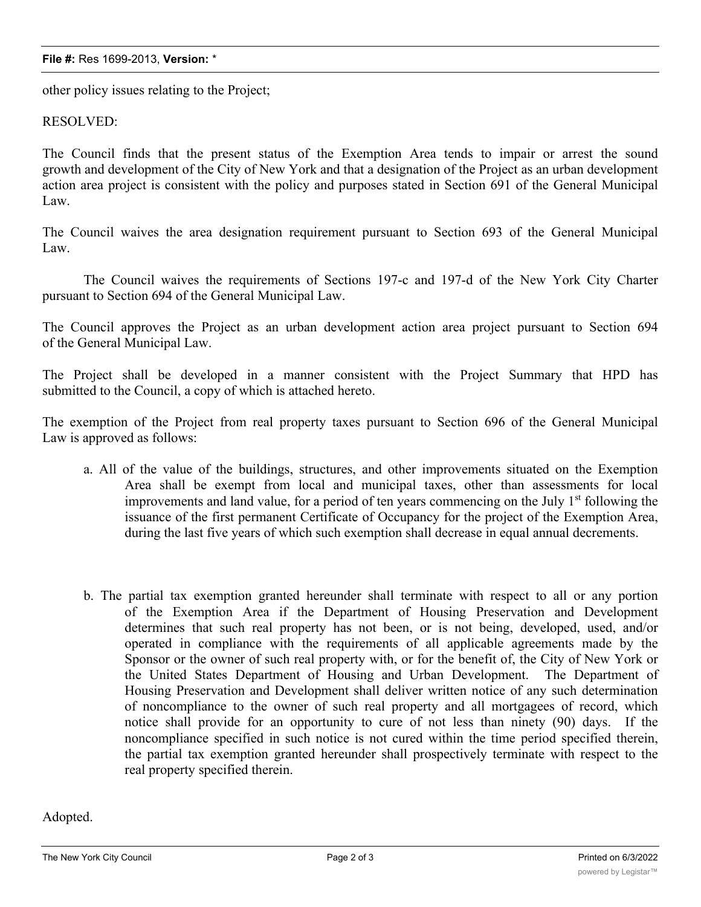## **File #:** Res 1699-2013, **Version:** \*

other policy issues relating to the Project;

## RESOLVED:

The Council finds that the present status of the Exemption Area tends to impair or arrest the sound growth and development of the City of New York and that a designation of the Project as an urban development action area project is consistent with the policy and purposes stated in Section 691 of the General Municipal Law.

The Council waives the area designation requirement pursuant to Section 693 of the General Municipal Law.

The Council waives the requirements of Sections 197-c and 197-d of the New York City Charter pursuant to Section 694 of the General Municipal Law.

The Council approves the Project as an urban development action area project pursuant to Section 694 of the General Municipal Law.

The Project shall be developed in a manner consistent with the Project Summary that HPD has submitted to the Council, a copy of which is attached hereto.

The exemption of the Project from real property taxes pursuant to Section 696 of the General Municipal Law is approved as follows:

- a. All of the value of the buildings, structures, and other improvements situated on the Exemption Area shall be exempt from local and municipal taxes, other than assessments for local improvements and land value, for a period of ten years commencing on the July  $1<sup>st</sup>$  following the issuance of the first permanent Certificate of Occupancy for the project of the Exemption Area, during the last five years of which such exemption shall decrease in equal annual decrements.
- b. The partial tax exemption granted hereunder shall terminate with respect to all or any portion of the Exemption Area if the Department of Housing Preservation and Development determines that such real property has not been, or is not being, developed, used, and/or operated in compliance with the requirements of all applicable agreements made by the Sponsor or the owner of such real property with, or for the benefit of, the City of New York or the United States Department of Housing and Urban Development. The Department of Housing Preservation and Development shall deliver written notice of any such determination of noncompliance to the owner of such real property and all mortgagees of record, which notice shall provide for an opportunity to cure of not less than ninety (90) days. If the noncompliance specified in such notice is not cured within the time period specified therein, the partial tax exemption granted hereunder shall prospectively terminate with respect to the real property specified therein.

Adopted.